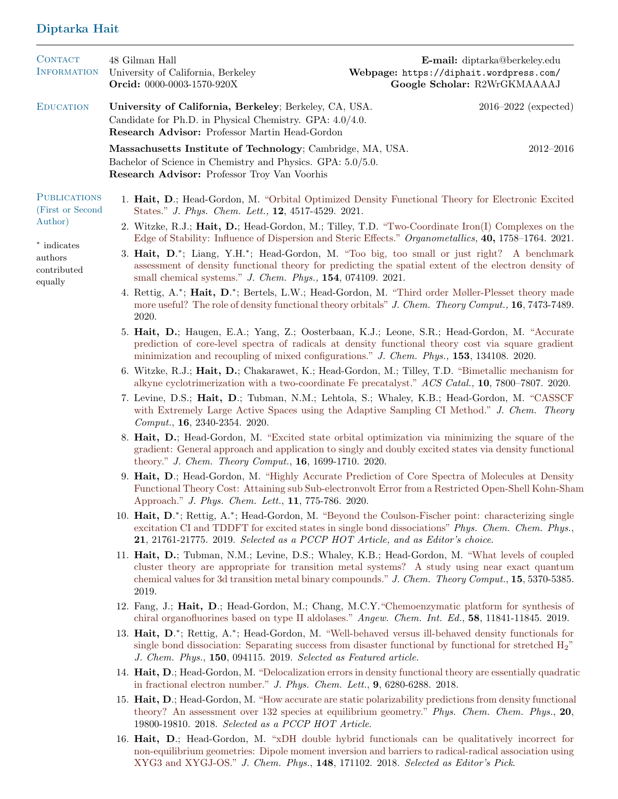## Diptarka Hait

| <b>CONTACT</b><br><b>INFORMATION</b>                                                                   |                                                                                                                                                                                                                    | 48 Gilman Hall<br>University of California, Berkeley<br>Orcid: 0000-0003-1570-920X                                                                                                                                                                                                                                       | Webpage: https://diphait.wordpress.com/ | E-mail: diptarka@berkeley.edu<br>Google Scholar: R2WrGKMAAAAJ |  |  |
|--------------------------------------------------------------------------------------------------------|--------------------------------------------------------------------------------------------------------------------------------------------------------------------------------------------------------------------|--------------------------------------------------------------------------------------------------------------------------------------------------------------------------------------------------------------------------------------------------------------------------------------------------------------------------|-----------------------------------------|---------------------------------------------------------------|--|--|
| <b>EDUCATION</b>                                                                                       |                                                                                                                                                                                                                    | University of California, Berkeley; Berkeley, CA, USA.<br>Candidate for Ph.D. in Physical Chemistry. GPA: 4.0/4.0.<br>Research Advisor: Professor Martin Head-Gordon                                                                                                                                                     |                                         | $2016 - 2022$ (expected)                                      |  |  |
|                                                                                                        |                                                                                                                                                                                                                    | Massachusetts Institute of Technology; Cambridge, MA, USA.<br>Bachelor of Science in Chemistry and Physics. GPA: 5.0/5.0.<br>Research Advisor: Professor Troy Van Voorhis                                                                                                                                                |                                         | $2012 - 2016$                                                 |  |  |
| <b>PUBLICATIONS</b><br>(First or Second<br>Author)<br>* indicates<br>authors<br>contributed<br>equally |                                                                                                                                                                                                                    | 1. Hait, D.; Head-Gordon, M. "Orbital Optimized Density Functional Theory for Electronic Excited<br>States." J. Phys. Chem. Lett., 12, 4517-4529. 2021.                                                                                                                                                                  |                                         |                                                               |  |  |
|                                                                                                        |                                                                                                                                                                                                                    | 2. Witzke, R.J.; Hait, D.; Head-Gordon, M.; Tilley, T.D. "Two-Coordinate Iron(I) Complexes on the<br>Edge of Stability: Influence of Dispersion and Steric Effects." Organometallics, 40, 1758–1764. 2021.                                                                                                               |                                         |                                                               |  |  |
|                                                                                                        |                                                                                                                                                                                                                    | 3. Hait, D.*; Liang, Y.H.*; Head-Gordon, M. "Too big, too small or just right? A benchmark<br>assessment of density functional theory for predicting the spatial extent of the electron density of<br>small chemical systems." J. Chem. Phys., 154, 074109. 2021.                                                        |                                         |                                                               |  |  |
|                                                                                                        | 4. Rettig, A.*; Hait, D.*; Bertels, L.W.; Head-Gordon, M. "Third order Møller-Plesset theory made<br>more useful? The role of density functional theory orbitals" J. Chem. Theory Comput., 16, 7473-7489.<br>2020. |                                                                                                                                                                                                                                                                                                                          |                                         |                                                               |  |  |
|                                                                                                        |                                                                                                                                                                                                                    | 5. Hait, D.; Haugen, E.A.; Yang, Z.; Oosterbaan, K.J.; Leone, S.R.; Head-Gordon, M. "Accurate<br>prediction of core-level spectra of radicals at density functional theory cost via square gradient<br>minimization and recoupling of mixed configurations." J. Chem. Phys., 153, 134108. 2020.                          |                                         |                                                               |  |  |
|                                                                                                        |                                                                                                                                                                                                                    | 6. Witzke, R.J.; Hait, D.; Chakarawet, K.; Head-Gordon, M.; Tilley, T.D. "Bimetallic mechanism for<br>alkyne cyclotrimerization with a two-coordinate Fe precatalyst." ACS Catal., 10, 7800–7807. 2020.                                                                                                                  |                                         |                                                               |  |  |
|                                                                                                        |                                                                                                                                                                                                                    | 7. Levine, D.S.; Hait, D.; Tubman, N.M.; Lehtola, S.; Whaley, K.B.; Head-Gordon, M. "CASSCF<br>with Extremely Large Active Spaces using the Adaptive Sampling CI Method." J. Chem. Theory<br>Comput., 16, 2340-2354. 2020.                                                                                               |                                         |                                                               |  |  |
|                                                                                                        |                                                                                                                                                                                                                    | 8. Hait, D.; Head-Gordon, M. "Excited state orbital optimization via minimizing the square of the<br>gradient: General approach and application to singly and doubly excited states via density functional<br>theory." J. Chem. Theory Comput., 16, 1699-1710. 2020.                                                     |                                         |                                                               |  |  |
|                                                                                                        |                                                                                                                                                                                                                    | 9. Hait, D.; Head-Gordon, M. "Highly Accurate Prediction of Core Spectra of Molecules at Density<br>Functional Theory Cost: Attaining sub Sub-electronvolt Error from a Restricted Open-Shell Kohn-Sham<br>Approach." J. Phys. Chem. Lett., 11, 775-786. 2020.                                                           |                                         |                                                               |  |  |
|                                                                                                        |                                                                                                                                                                                                                    | 10. Hait, D.*; Rettig, A.*; Head-Gordon, M. "Beyond the Coulson-Fischer point: characterizing single<br>excitation CI and TDDFT for excited states in single bond dissociations" Phys. Chem. Chem. Phys.,<br>21, 21761-21775. 2019. Selected as a PCCP HOT Article, and as Editor's choice.                              |                                         |                                                               |  |  |
|                                                                                                        |                                                                                                                                                                                                                    | 11. Hait, D.; Tubman, N.M.; Levine, D.S.; Whaley, K.B.; Head-Gordon, M. "What levels of coupled<br>cluster theory are appropriate for transition metal systems? A study using near exact quantum<br>chemical values for 3d transition metal binary compounds." J. Chem. Theory Comput., 15, 5370-5385.<br>2019.          |                                         |                                                               |  |  |
|                                                                                                        |                                                                                                                                                                                                                    | 12. Fang, J.; Hait, D.; Head-Gordon, M.; Chang, M.C.Y. "Chemoenzymatic platform for synthesis of<br>chiral organofluorines based on type II aldolases." Angew. Chem. Int. Ed., 58, 11841-11845. 2019.                                                                                                                    |                                         |                                                               |  |  |
|                                                                                                        |                                                                                                                                                                                                                    | 13. Hait, D. <sup>*</sup> ; Rettig, A. <sup>*</sup> ; Head-Gordon, M. "Well-behaved versus ill-behaved density functionals for<br>single bond dissociation: Separating success from disaster functional by functional for stretched H <sub>2</sub> "<br>J. Chem. Phys., 150, 094115. 2019. Selected as Featured article. |                                         |                                                               |  |  |
|                                                                                                        |                                                                                                                                                                                                                    | 14. Hait, D.; Head-Gordon, M. "Delocalization errors in density functional theory are essentially quadratic<br>in fractional electron number." J. Phys. Chem. Lett., $9,6280-6288.2018$ .                                                                                                                                |                                         |                                                               |  |  |
|                                                                                                        |                                                                                                                                                                                                                    | 15. Hait, D.; Head-Gordon, M. "How accurate are static polarizability predictions from density functional<br>theory? An assessment over 132 species at equilibrium geometry." Phys. Chem. Chem. Phys., 20,<br>19800-19810. 2018. Selected as a PCCP HOT Article.                                                         |                                         |                                                               |  |  |
|                                                                                                        |                                                                                                                                                                                                                    | 16 Hatt D. Hood Condon M. S. DII double behaid functionals can be quelitatively income                                                                                                                                                                                                                                   |                                         |                                                               |  |  |

16. Hait, D.; Head-Gordon, M. ["xDH double hybrid functionals can be qualitatively incorrect for](https://aip.scitation.org/doi/abs/10.1063/1.5031027) [non-equilibrium geometries: Dipole moment inversion and barriers to radical-radical association using](https://aip.scitation.org/doi/abs/10.1063/1.5031027) [XYG3 and XYGJ-OS."](https://aip.scitation.org/doi/abs/10.1063/1.5031027) J. Chem. Phys., 148, 171102. 2018. Selected as Editor's Pick.